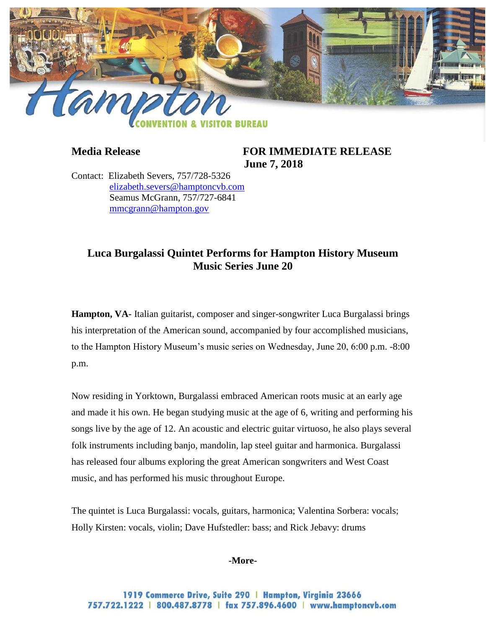

**Media Release FOR IMMEDIATE RELEASE June 7, 2018**

Contact: Elizabeth Severs, 757/728-5326 [elizabeth.severs@hamptoncvb.com](mailto:elizabeth.severs@hamptoncvb.com) Seamus McGrann, 757/727-6841 [mmcgrann@hampton.gov](mailto:mmcgrann@hampton.gov)

## **Luca Burgalassi Quintet Performs for Hampton History Museum Music Series June 20**

**Hampton, VA-** Italian guitarist, composer and singer-songwriter Luca Burgalassi brings his interpretation of the American sound, accompanied by four accomplished musicians, to the Hampton History Museum's music series on Wednesday, June 20, 6:00 p.m. -8:00 p.m.

Now residing in Yorktown, Burgalassi embraced American roots music at an early age and made it his own. He began studying music at the age of 6, writing and performing his songs live by the age of 12. An acoustic and electric guitar virtuoso, he also plays several folk instruments including banjo, mandolin, lap steel guitar and harmonica. Burgalassi has released four albums exploring the great American songwriters and West Coast music, and has performed his music throughout Europe.

The quintet is Luca Burgalassi: vocals, guitars, harmonica; Valentina Sorbera: vocals; Holly Kirsten: vocals, violin; Dave Hufstedler: bass; and Rick Jebavy: drums

## **-More-**